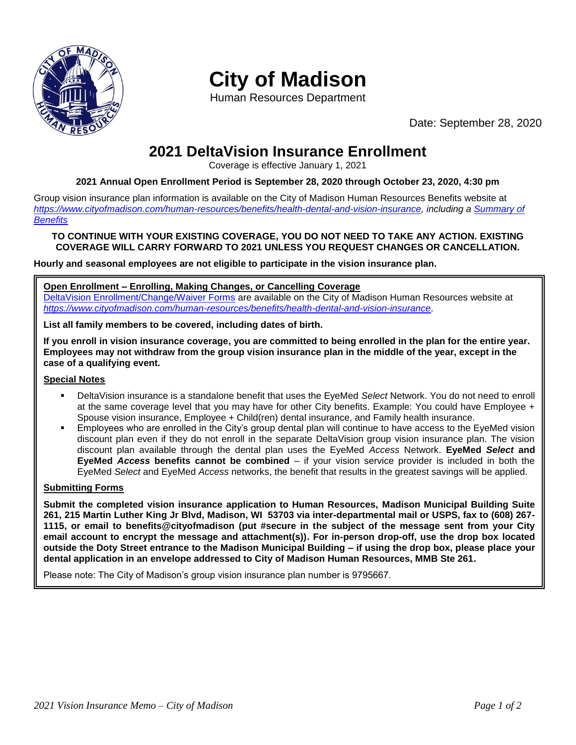

# **City of Madison**

Human Resources Department

Date: September 28, 2020

## **2021 DeltaVision Insurance Enrollment**

Coverage is effective January 1, 2021

### **2021 Annual Open Enrollment Period is September 28, 2020 through October 23, 2020, 4:30 pm**

Group vision insurance plan information is available on the City of Madison Human Resources Benefits website at *[https://www.cityofmadison.com/human-resources/benefits/health-dental-and-vision-insurance,](https://www.cityofmadison.com/human-resources/benefits/health-dental-and-vision-insurance) including a [Summary of](https://www.cityofmadison.com/human-resources/documents/City%20of%20Madison%20YVB%202020.pdf)  [Benefits](https://www.cityofmadison.com/human-resources/documents/City%20of%20Madison%20YVB%202020.pdf)*

### **TO CONTINUE WITH YOUR EXISTING COVERAGE, YOU DO NOT NEED TO TAKE ANY ACTION. EXISTING COVERAGE WILL CARRY FORWARD TO 2021 UNLESS YOU REQUEST CHANGES OR CANCELLATION.**

**Hourly and seasonal employees are not eligible to participate in the vision insurance plan.**

**Open Enrollment – Enrolling, Making Changes, or Cancelling Coverage** [DeltaVision Enrollment/Change/Waiver Forms](https://www.cityofmadison.com/human-resources/documents/Delta%20Vision%20Enrollment%20Change%20Waiver%20Form.pdf) are available on the City of Madison Human Resources website at *<https://www.cityofmadison.com/human-resources/benefits/health-dental-and-vision-insurance>*.

**List all family members to be covered, including dates of birth.**

**If you enroll in vision insurance coverage, you are committed to being enrolled in the plan for the entire year. Employees may not withdraw from the group vision insurance plan in the middle of the year, except in the case of a qualifying event.**

### **Special Notes**

- DeltaVision insurance is a standalone benefit that uses the EyeMed *Select* Network. You do not need to enroll at the same coverage level that you may have for other City benefits. Example: You could have Employee + Spouse vision insurance, Employee + Child(ren) dental insurance, and Family health insurance.
- Employees who are enrolled in the City's group dental plan will continue to have access to the EyeMed vision discount plan even if they do not enroll in the separate DeltaVision group vision insurance plan. The vision discount plan available through the dental plan uses the EyeMed *Access* Network. **EyeMed** *Select* **and EyeMed** *Access* **benefits cannot be combined** – if your vision service provider is included in both the EyeMed *Select* and EyeMed *Access* networks, the benefit that results in the greatest savings will be applied.

### **Submitting Forms**

**Submit the completed vision insurance application to Human Resources, Madison Municipal Building Suite 261, 215 Martin Luther King Jr Blvd, Madison, WI 53703 via inter-departmental mail or USPS, fax to (608) 267- 1115, or email to benefits@cityofmadison (put #secure in the subject of the message sent from your City email account to encrypt the message and attachment(s)). For in-person drop-off, use the drop box located outside the Doty Street entrance to the Madison Municipal Building – if using the drop box, please place your dental application in an envelope addressed to City of Madison Human Resources, MMB Ste 261.**

Please note: The City of Madison's group vision insurance plan number is 9795667.